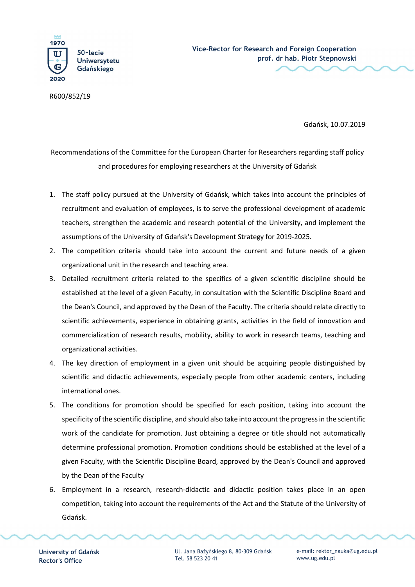

R600/852/19

Gdańsk, 10.07.2019

Recommendations of the Committee for the European Charter for Researchers regarding staff policy and procedures for employing researchers at the University of Gdańsk

- 1. The staff policy pursued at the University of Gdańsk, which takes into account the principles of recruitment and evaluation of employees, is to serve the professional development of academic teachers, strengthen the academic and research potential of the University, and implement the assumptions of the University of Gdańsk's Development Strategy for 2019-2025.
- 2. The competition criteria should take into account the current and future needs of a given organizational unit in the research and teaching area.
- 3. Detailed recruitment criteria related to the specifics of a given scientific discipline should be established at the level of a given Faculty, in consultation with the Scientific Discipline Board and the Dean's Council, and approved by the Dean of the Faculty. The criteria should relate directly to scientific achievements, experience in obtaining grants, activities in the field of innovation and commercialization of research results, mobility, ability to work in research teams, teaching and organizational activities.
- 4. The key direction of employment in a given unit should be acquiring people distinguished by scientific and didactic achievements, especially people from other academic centers, including international ones.
- 5. The conditions for promotion should be specified for each position, taking into account the specificity of the scientific discipline, and should also take into account the progress in the scientific work of the candidate for promotion. Just obtaining a degree or title should not automatically determine professional promotion. Promotion conditions should be established at the level of a given Faculty, with the Scientific Discipline Board, approved by the Dean's Council and approved by the Dean of the Faculty
- 6. Employment in a research, research-didactic and didactic position takes place in an open competition, taking into account the requirements of the Act and the Statute of the University of Gdańsk.

University of Gdańsk Rector's Office

Ul. Jana Bażyńskiego 8, 80-309 Gdańsk Tel. 58 523 20 41

e-mail: rektor\_nauka@ug.edu.pl www.ug.edu.pl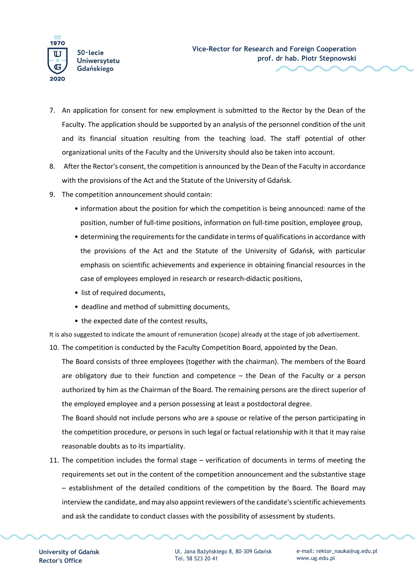

- 7. An application for consent for new employment is submitted to the Rector by the Dean of the Faculty. The application should be supported by an analysis of the personnel condition of the unit and its financial situation resulting from the teaching load. The staff potential of other organizational units of the Faculty and the University should also be taken into account.
- 8. After the Rector's consent, the competition is announced by the Dean of the Faculty in accordance with the provisions of the Act and the Statute of the University of Gdańsk.
- 9. The competition announcement should contain:
	- information about the position for which the competition is being announced: name of the position, number of full-time positions, information on full-time position, employee group,
	- determining the requirements for the candidate in terms of qualifications in accordance with the provisions of the Act and the Statute of the University of Gdańsk, with particular emphasis on scientific achievements and experience in obtaining financial resources in the case of employees employed in research or research-didactic positions,
	- list of required documents,
	- deadline and method of submitting documents,
	- the expected date of the contest results,

It is also suggested to indicate the amount of remuneration (scope) already at the stage of job advertisement. 10. The competition is conducted by the Faculty Competition Board, appointed by the Dean.

The Board consists of three employees (together with the chairman). The members of the Board are obligatory due to their function and competence – the Dean of the Faculty or a person authorized by him as the Chairman of the Board. The remaining persons are the direct superior of the employed employee and a person possessing at least a postdoctoral degree.

The Board should not include persons who are a spouse or relative of the person participating in the competition procedure, or persons in such legal or factual relationship with it that it may raise reasonable doubts as to its impartiality.

11. The competition includes the formal stage – verification of documents in terms of meeting the requirements set out in the content of the competition announcement and the substantive stage – establishment of the detailed conditions of the competition by the Board. The Board may interview the candidate, and may also appoint reviewers of the candidate's scientific achievements and ask the candidate to conduct classes with the possibility of assessment by students.